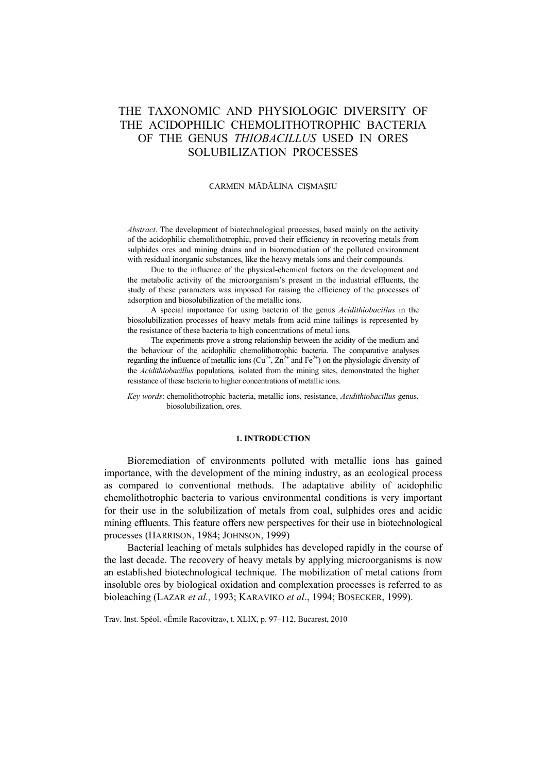# THE TAXONOMIC AND PHYSIOLOGIC DIVERSITY OF THE ACIDOPHILIC CHEMOLITHOTROPHIC BACTERIA OF THE GENUS *THIOBACILLUS* USED IN ORES SOLUBILIZATION PROCESSES

## CARMEN MĂDĂLINA CIŞMAŞIU

*Abstract*. The development of biotechnological processes, based mainly on the activity of the acidophilic chemolithotrophic, proved their efficiency in recovering metals from sulphides ores and mining drains and in bioremediation of the polluted environment with residual inorganic substances, like the heavy metals ions and their compounds.

Due to the influence of the physical-chemical factors on the development and the metabolic activity of the microorganism's present in the industrial effluents, the study of these parameters was imposed for raising the efficiency of the processes of adsorption and biosolubilization of the metallic ions.

A special importance for using bacteria of the genus *Acidithiobacillus* in the biosolubilization processes of heavy metals from acid mine tailings is represented by the resistance of these bacteria to high concentrations of metal ions.

The experiments prove a strong relationship between the acidity of the medium and the behaviour of the acidophilic chemolithotrophic bacteria. The comparative analyses regarding the influence of metallic ions  $(Cu^{2+}, Zn^{2+}$  and  $Fe^{2+})$  on the physiologic diversity of the *Acidithiobacillus* populations*,* isolated from the mining sites, demonstrated the higher resistance of these bacteria to higher concentrations of metallic ions.

*Key words*: chemolithotrophic bacteria, metallic ions, resistance, *Acidithiobacillus* genus, biosolubilization, ores.

## **1. INTRODUCTION**

Bioremediation of environments polluted with metallic ions has gained importance, with the development of the mining industry, as an ecological process as compared to conventional methods. The adaptative ability of acidophilic chemolithotrophic bacteria to various environmental conditions is very important for their use in the solubilization of metals from coal, sulphides ores and acidic mining effluents. This feature offers new perspectives for their use in biotechnological processes (HARRISON, 1984; JOHNSON, 1999)

Bacterial leaching of metals sulphides has developed rapidly in the course of the last decade. The recovery of heavy metals by applying microorganisms is now an established biotechnological technique. The mobilization of metal cations from insoluble ores by biological oxidation and complexation processes is referred to as bioleaching (LAZAR *et al.,* 1993; KARAVIKO *et al*., 1994; BOSECKER, 1999).

Trav. Inst. Spéol. «Émile Racovitza», t. XLIX, p. 97–112, Bucarest, 2010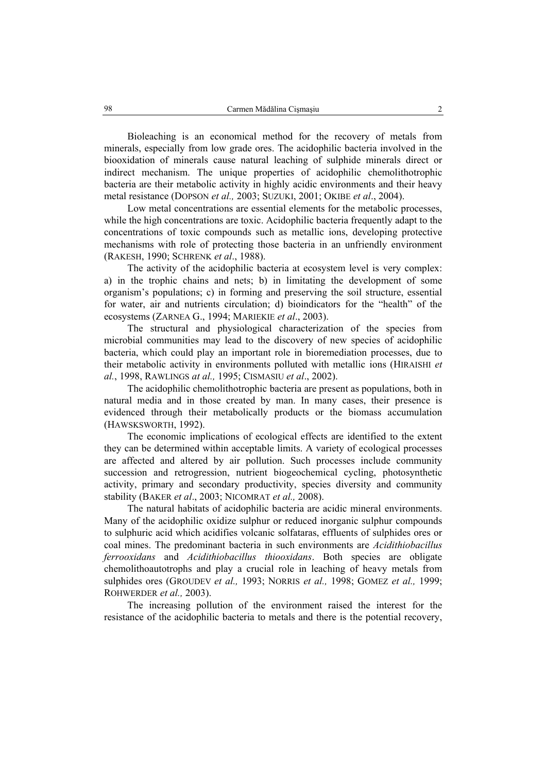Bioleaching is an economical method for the recovery of metals from minerals, especially from low grade ores. The acidophilic bacteria involved in the biooxidation of minerals cause natural leaching of sulphide minerals direct or indirect mechanism. The unique properties of acidophilic chemolithotrophic bacteria are their metabolic activity in highly acidic environments and their heavy metal resistance (DOPSON *et al.,* 2003; SUZUKI, 2001; OKIBE *et al*., 2004).

Low metal concentrations are essential elements for the metabolic processes, while the high concentrations are toxic. Acidophilic bacteria frequently adapt to the concentrations of toxic compounds such as metallic ions, developing protective mechanisms with role of protecting those bacteria in an unfriendly environment (RAKESH, 1990; SCHRENK *et al*., 1988).

The activity of the acidophilic bacteria at ecosystem level is very complex: a) in the trophic chains and nets; b) in limitating the development of some organism's populations; c) in forming and preserving the soil structure, essential for water, air and nutrients circulation; d) bioindicators for the "health" of the ecosystems (ZARNEA G., 1994; MARIEKIE *et al*., 2003).

The structural and physiological characterization of the species from microbial communities may lead to the discovery of new species of acidophilic bacteria, which could play an important role in bioremediation processes, due to their metabolic activity in environments polluted with metallic ions (HIRAISHI *et al.*, 1998, RAWLINGS *at al.,* 1995; CISMASIU *et al*., 2002).

The acidophilic chemolithotrophic bacteria are present as populations, both in natural media and in those created by man. In many cases, their presence is evidenced through their metabolically products or the biomass accumulation (HAWSKSWORTH, 1992).

The economic implications of ecological effects are identified to the extent they can be determined within acceptable limits. A variety of ecological processes are affected and altered by air pollution. Such processes include community succession and retrogression, nutrient biogeochemical cycling, photosynthetic activity, primary and secondary productivity, species diversity and community stability (BAKER *et al*., 2003; NICOMRAT *et al.,* 2008).

The natural habitats of acidophilic bacteria are acidic mineral environments. Many of the acidophilic oxidize sulphur or reduced inorganic sulphur compounds to sulphuric acid which acidifies volcanic solfataras, effluents of sulphides ores or coal mines. The predominant bacteria in such environments are *Acidithiobacillus ferrooxidans* and *Acidithiobacillus thiooxidans*. Both species are obligate chemolithoautotrophs and play a crucial role in leaching of heavy metals from sulphides ores (GROUDEV *et al.,* 1993; NORRIS *et al.,* 1998; GOMEZ *et al.,* 1999; ROHWERDER *et al.,* 2003).

The increasing pollution of the environment raised the interest for the resistance of the acidophilic bacteria to metals and there is the potential recovery,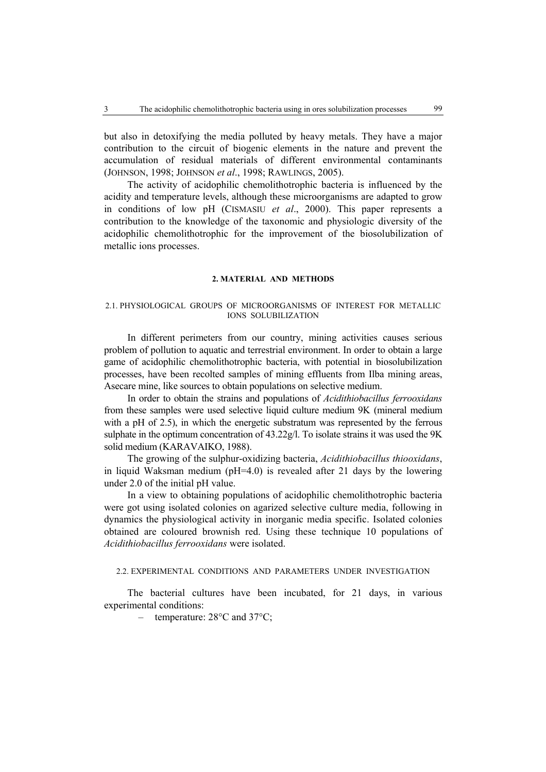but also in detoxifying the media polluted by heavy metals. They have a major contribution to the circuit of biogenic elements in the nature and prevent the accumulation of residual materials of different environmental contaminants (JOHNSON, 1998; JOHNSON *et al*., 1998; RAWLINGS, 2005).

The activity of acidophilic chemolithotrophic bacteria is influenced by the acidity and temperature levels, although these microorganisms are adapted to grow in conditions of low pH (CISMASIU *et al*., 2000). This paper represents a contribution to the knowledge of the taxonomic and physiologic diversity of the acidophilic chemolithotrophic for the improvement of the biosolubilization of metallic ions processes.

## **2. MATERIAL AND METHODS**

## 2.1. PHYSIOLOGICAL GROUPS OF MICROORGANISMS OF INTEREST FOR METALLIC IONS SOLUBILIZATION

In different perimeters from our country, mining activities causes serious problem of pollution to aquatic and terrestrial environment. In order to obtain a large game of acidophilic chemolithotrophic bacteria, with potential in biosolubilization processes, have been recolted samples of mining effluents from Ilba mining areas, Asecare mine, like sources to obtain populations on selective medium.

In order to obtain the strains and populations of *Acidithiobacillus ferrooxidans* from these samples were used selective liquid culture medium 9K (mineral medium with a pH of 2.5), in which the energetic substratum was represented by the ferrous sulphate in the optimum concentration of 43.22g/l. To isolate strains it was used the 9K solid medium (KARAVAIKO, 1988).

The growing of the sulphur-oxidizing bacteria, *Acidithiobacillus thiooxidans*, in liquid Waksman medium (pH=4.0) is revealed after 21 days by the lowering under 2.0 of the initial pH value.

In a view to obtaining populations of acidophilic chemolithotrophic bacteria were got using isolated colonies on agarized selective culture media, following in dynamics the physiological activity in inorganic media specific. Isolated colonies obtained are coloured brownish red. Using these technique 10 populations of *Acidithiobacillus ferrooxidans* were isolated.

#### 2.2. EXPERIMENTAL CONDITIONS AND PARAMETERS UNDER INVESTIGATION

The bacterial cultures have been incubated, for 21 days, in various experimental conditions:

– temperature: 28°C and 37°C;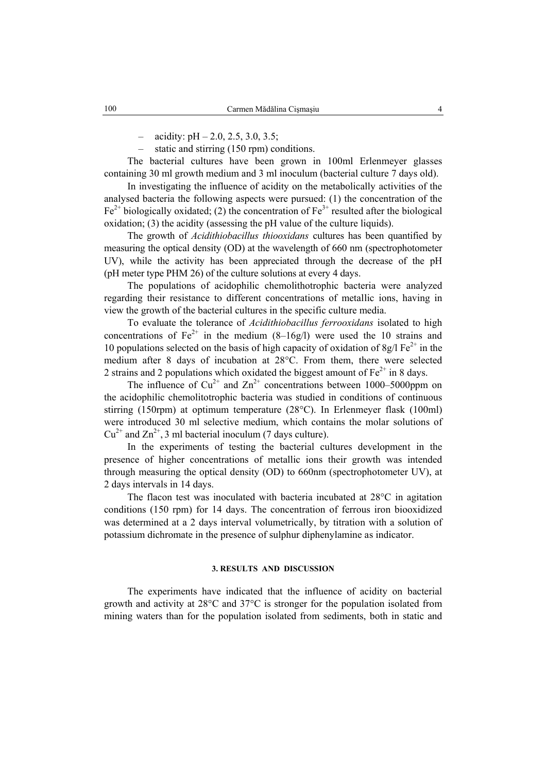$-$  acidity: pH  $-$  2.0, 2.5, 3.0, 3.5;

– static and stirring (150 rpm) conditions.

The bacterial cultures have been grown in 100ml Erlenmeyer glasses containing 30 ml growth medium and 3 ml inoculum (bacterial culture 7 days old).

In investigating the influence of acidity on the metabolically activities of the analysed bacteria the following aspects were pursued: (1) the concentration of the  $Fe<sup>2+</sup> biologically oxidated; (2) the concentration of Fe<sup>3+</sup> resulted after the biological$ oxidation; (3) the acidity (assessing the pH value of the culture liquids).

The growth of *Acidithiobacillus thiooxidans* cultures has been quantified by measuring the optical density (OD) at the wavelength of 660 nm (spectrophotometer UV), while the activity has been appreciated through the decrease of the pH (pH meter type PHM 26) of the culture solutions at every 4 days.

The populations of acidophilic chemolithotrophic bacteria were analyzed regarding their resistance to different concentrations of metallic ions, having in view the growth of the bacterial cultures in the specific culture media.

To evaluate the tolerance of *Acidithiobacillus ferrooxidans* isolated to high concentrations of  $Fe^{2+}$  in the medium (8–16g/l) were used the 10 strains and 10 populations selected on the basis of high capacity of oxidation of 8g/l  $Fe^{2+}$  in the medium after 8 days of incubation at 28°C. From them, there were selected 2 strains and 2 populations which oxidated the biggest amount of  $Fe<sup>2+</sup>$  in 8 days.

The influence of  $Cu^{2+}$  and  $Zn^{2+}$  concentrations between 1000–5000ppm on the acidophilic chemolitotrophic bacteria was studied in conditions of continuous stirring (150rpm) at optimum temperature (28°C). In Erlenmeyer flask (100ml) were introduced 30 ml selective medium, which contains the molar solutions of  $Cu^{2+}$  and  $Zn^{2+}$ , 3 ml bacterial inoculum (7 days culture).

In the experiments of testing the bacterial cultures development in the presence of higher concentrations of metallic ions their growth was intended through measuring the optical density (OD) to 660nm (spectrophotometer UV), at 2 days intervals in 14 days.

The flacon test was inoculated with bacteria incubated at 28°C in agitation conditions (150 rpm) for 14 days. The concentration of ferrous iron biooxidized was determined at a 2 days interval volumetrically, by titration with a solution of potassium dichromate in the presence of sulphur diphenylamine as indicator.

#### **3. RESULTS AND DISCUSSION**

The experiments have indicated that the influence of acidity on bacterial growth and activity at 28°C and 37°C is stronger for the population isolated from mining waters than for the population isolated from sediments, both in static and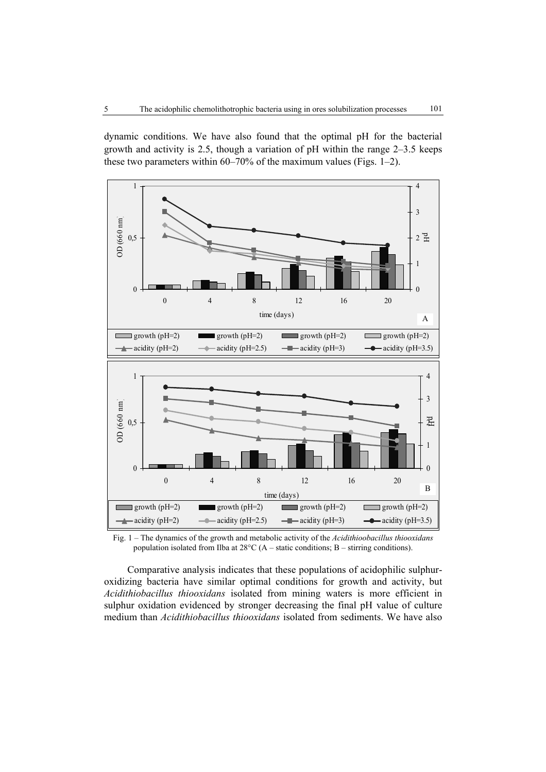dynamic conditions. We have also found that the optimal pH for the bacterial growth and activity is 2.5, though a variation of pH within the range 2–3.5 keeps these two parameters within 60–70% of the maximum values (Figs. 1–2).



Fig. 1 – The dynamics of the growth and metabolic activity of the *Acidithioobacillus thiooxidans* population isolated from Ilba at 28°C (A – static conditions; B – stirring conditions).

Comparative analysis indicates that these populations of acidophilic sulphuroxidizing bacteria have similar optimal conditions for growth and activity, but *Acidithiobacillus thiooxidans* isolated from mining waters is more efficient in sulphur oxidation evidenced by stronger decreasing the final pH value of culture medium than *Acidithiobacillus thiooxidans* isolated from sediments. We have also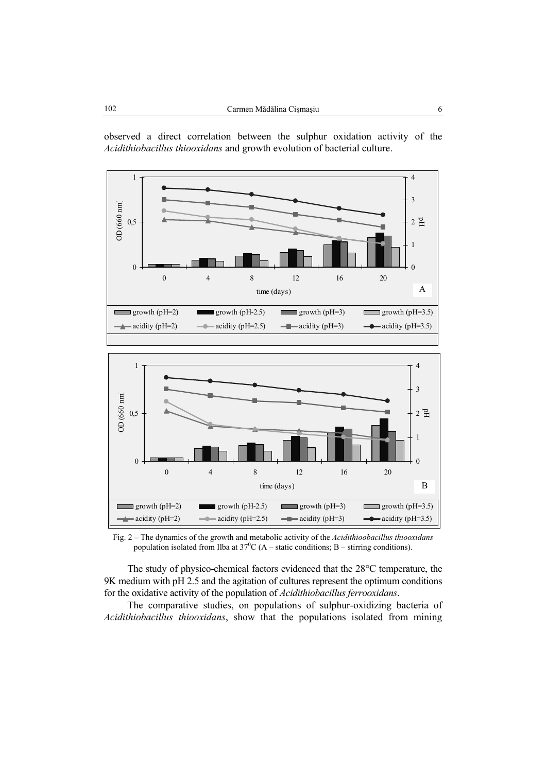

observed a direct correlation between the sulphur oxidation activity of the





Fig. 2 – The dynamics of the growth and metabolic activity of the *Acidithioobacillus thiooxidans* population isolated from Ilba at  $37^0C(A - \text{static conditions}; B - \text{stirring conditions}).$ 

The study of physico-chemical factors evidenced that the 28°C temperature, the 9K medium with pH 2.5 and the agitation of cultures represent the optimum conditions for the oxidative activity of the population of *Acidithiobacillus ferrooxidans*.

The comparative studies, on populations of sulphur-oxidizing bacteria of *Acidithiobacillus thiooxidans*, show that the populations isolated from mining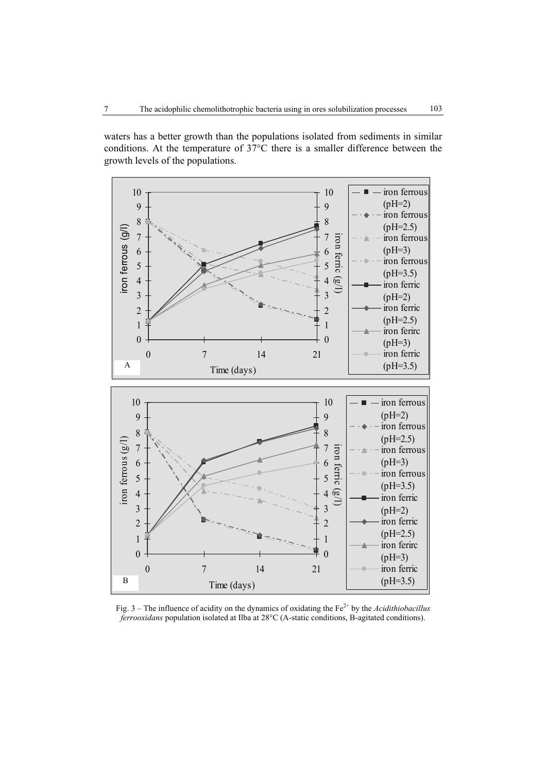waters has a better growth than the populations isolated from sediments in similar conditions. At the temperature of 37°C there is a smaller difference between the growth levels of the populations.



Fig. 3 – The influence of acidity on the dynamics of oxidating the Fe<sup>2+</sup> by the *Acidithiobacillus ferrooxidans* population isolated at Ilba at 28°C (A-static conditions, B-agitated conditions).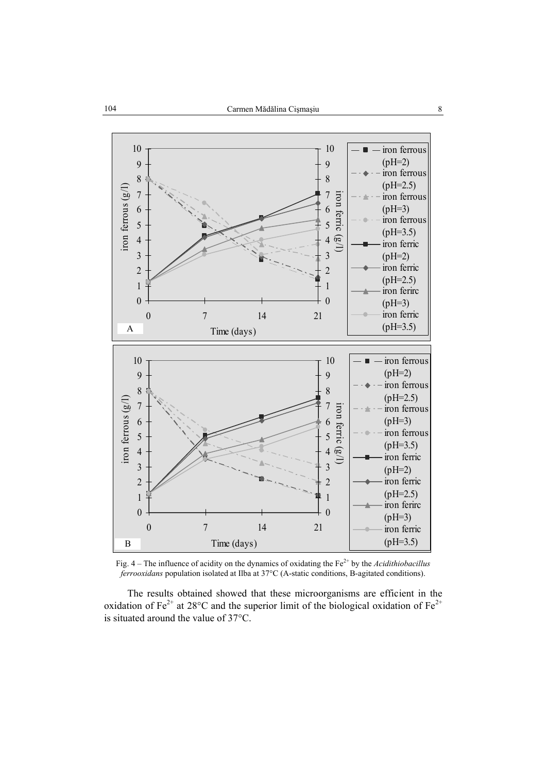

Fig. 4 – The influence of acidity on the dynamics of oxidating the Fe<sup>2+</sup> by the *Acidithiobacillus ferrooxidans* population isolated at Ilba at 37°C (A-static conditions, B-agitated conditions).

The results obtained showed that these microorganisms are efficient in the oxidation of Fe<sup>2+</sup> at 28 $\degree$ C and the superior limit of the biological oxidation of Fe<sup>2+</sup> is situated around the value of 37°C.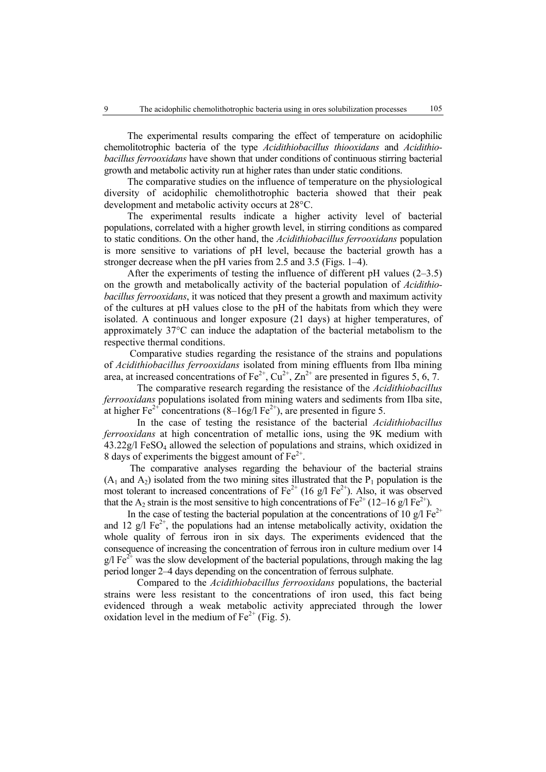The experimental results comparing the effect of temperature on acidophilic chemolitotrophic bacteria of the type *Acidithiobacillus thiooxidans* and *Acidithiobacillus ferrooxidans* have shown that under conditions of continuous stirring bacterial growth and metabolic activity run at higher rates than under static conditions.

The comparative studies on the influence of temperature on the physiological diversity of acidophilic chemolithotrophic bacteria showed that their peak development and metabolic activity occurs at 28°C.

The experimental results indicate a higher activity level of bacterial populations, correlated with a higher growth level, in stirring conditions as compared to static conditions. On the other hand, the *Acidithiobacillus ferrooxidans* population is more sensitive to variations of pH level, because the bacterial growth has a stronger decrease when the pH varies from 2.5 and 3.5 (Figs. 1–4).

After the experiments of testing the influence of different pH values (2–3.5) on the growth and metabolically activity of the bacterial population of *Acidithiobacillus ferrooxidans*, it was noticed that they present a growth and maximum activity of the cultures at pH values close to the pH of the habitats from which they were isolated. A continuous and longer exposure (21 days) at higher temperatures, of approximately 37°C can induce the adaptation of the bacterial metabolism to the respective thermal conditions.

Comparative studies regarding the resistance of the strains and populations of *Acidithiobacillus ferrooxidans* isolated from mining effluents from Ilba mining area, at increased concentrations of  $Fe^{2+}$ ,  $Cu^{2+}$ ,  $Zn^{2+}$  are presented in figures 5, 6, 7.

The comparative research regarding the resistance of the *Acidithiobacillus ferrooxidans* populations isolated from mining waters and sediments from Ilba site, at higher Fe<sup>2+</sup> concentrations (8–16g/l Fe<sup>2+</sup>), are presented in figure 5.

In the case of testing the resistance of the bacterial *Acidithiobacillus ferrooxidans* at high concentration of metallic ions, using the 9K medium with 43.22g/l FeSO4 allowed the selection of populations and strains, which oxidized in 8 days of experiments the biggest amount of  $Fe<sup>2+</sup>$ .

The comparative analyses regarding the behaviour of the bacterial strains  $(A_1 \text{ and } A_2)$  isolated from the two mining sites illustrated that the  $P_1$  population is the most tolerant to increased concentrations of  $Fe^{2+}$  (16 g/l  $Fe^{2+}$ ). Also, it was observed that the A<sub>2</sub> strain is the most sensitive to high concentrations of Fe<sup>2+</sup> (12–16 g/l Fe<sup>2+</sup>).

In the case of testing the bacterial population at the concentrations of 10  $\varrho/$  Fe<sup>2+</sup> and 12 g/l  $Fe^{2+}$ , the populations had an intense metabolically activity, oxidation the whole quality of ferrous iron in six days. The experiments evidenced that the consequence of increasing the concentration of ferrous iron in culture medium over 14  $g/I Fe^{2+}$  was the slow development of the bacterial populations, through making the lag period longer 2–4 days depending on the concentration of ferrous sulphate.

Compared to the *Acidithiobacillus ferrooxidans* populations, the bacterial strains were less resistant to the concentrations of iron used, this fact being evidenced through a weak metabolic activity appreciated through the lower oxidation level in the medium of  $Fe^{2+}$  (Fig. 5).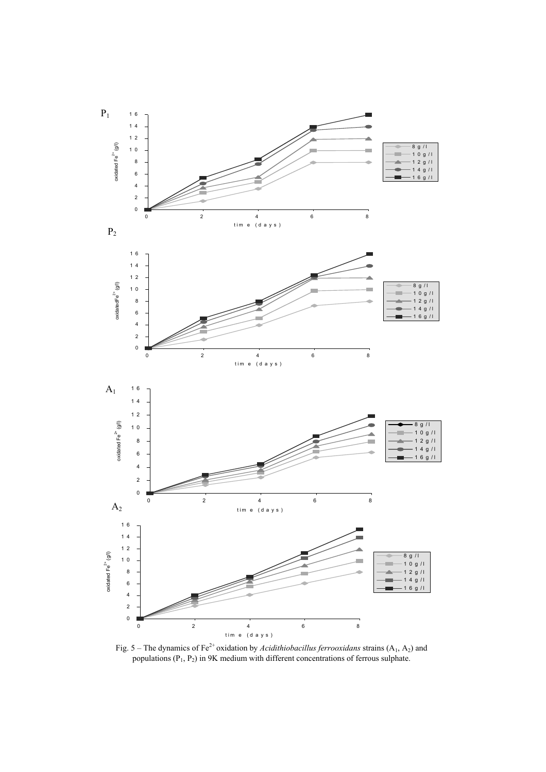

Fig. 5 – The dynamics of Fe<sup>2+</sup> oxidation by *Acidithiobacillus ferrooxidans* strains  $(A_1, A_2)$  and populations  $(P_1, P_2)$  in 9K medium with different concentrations of ferrous sulphate.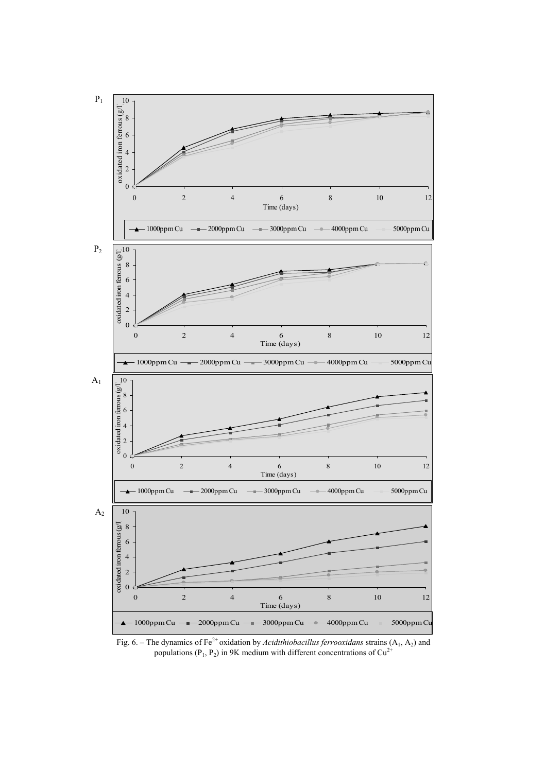

Fig. 6. – The dynamics of Fe<sup>2+</sup> oxidation by *Acidithiobacillus ferrooxidans* strains  $(A_1, A_2)$  and populations ( $P_1$ ,  $P_2$ ) in 9K medium with different concentrations of  $Cu^{2+}$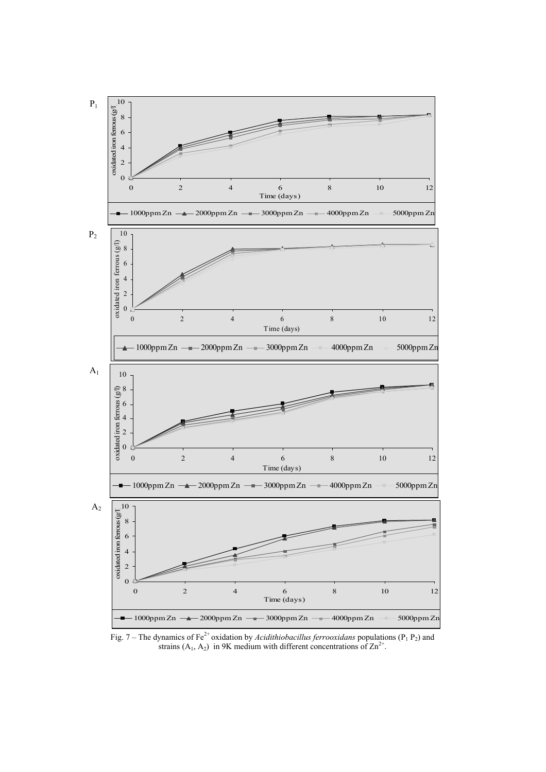

Fig. 7 – The dynamics of Fe<sup>2+</sup> oxidation by *Acidithiobacillus ferrooxidans* populations ( $P_1 P_2$ ) and strains (A<sub>1</sub>, A<sub>2</sub>) in 9K medium with different concentrations of  $\text{Zn}^{2+}$ .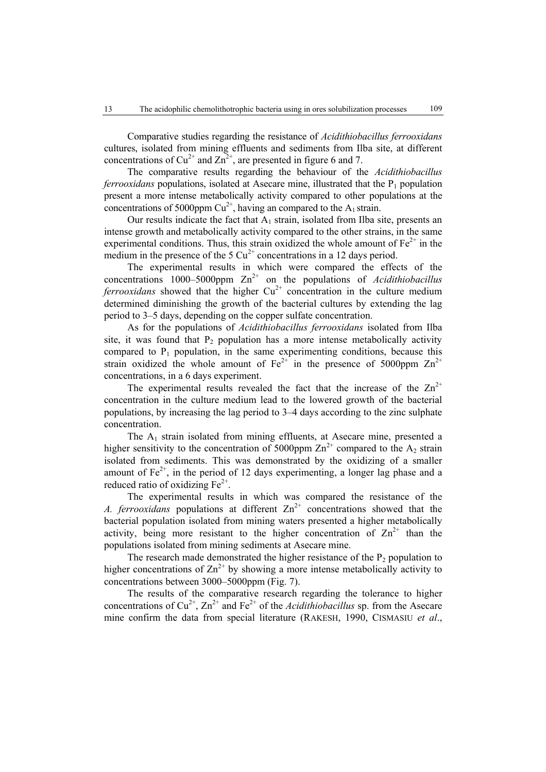Comparative studies regarding the resistance of *Acidithiobacillus ferrooxidans* cultures, isolated from mining effluents and sediments from Ilba site, at different concentrations of  $Cu^{2+}$  and  $Zn^{2+}$ , are presented in figure 6 and 7.

The comparative results regarding the behaviour of the *Acidithiobacillus ferrooxidans* populations, isolated at Asecare mine, illustrated that the P<sub>1</sub> population present a more intense metabolically activity compared to other populations at the concentrations of 5000ppm  $Cu^{2+}$ , having an compared to the A<sub>1</sub> strain.

Our results indicate the fact that  $A_1$  strain, isolated from Ilba site, presents an intense growth and metabolically activity compared to the other strains, in the same experimental conditions. Thus, this strain oxidized the whole amount of  $Fe^{2+}$  in the medium in the presence of the 5  $Cu^{2+}$  concentrations in a 12 days period.

The experimental results in which were compared the effects of the concentrations 1000–5000ppm  $\text{Zn}^{2+}$  on the populations of *Acidithiobacillus ferrooxidans* showed that the higher  $Cu^{2+}$  concentration in the culture medium determined diminishing the growth of the bacterial cultures by extending the lag period to 3–5 days, depending on the copper sulfate concentration.

As for the populations of *Acidithiobacillus ferrooxidans* isolated from Ilba site, it was found that  $P_2$  population has a more intense metabolically activity compared to  $P_1$  population, in the same experimenting conditions, because this strain oxidized the whole amount of  $Fe^{2+}$  in the presence of 5000ppm  $Zn^{2+}$ concentrations, in a 6 days experiment.

The experimental results revealed the fact that the increase of the  $\text{Zn}^{2+}$ concentration in the culture medium lead to the lowered growth of the bacterial populations, by increasing the lag period to 3–4 days according to the zinc sulphate concentration.

The  $A_1$  strain isolated from mining effluents, at Asecare mine, presented a higher sensitivity to the concentration of 5000ppm  $\text{Zn}^{2+}$  compared to the A<sub>2</sub> strain isolated from sediments. This was demonstrated by the oxidizing of a smaller amount of  $Fe^{2+}$ , in the period of 12 days experimenting, a longer lag phase and a reduced ratio of oxidizing  $Fe<sup>2+</sup>$ .

The experimental results in which was compared the resistance of the *A. ferrooxidans* populations at different  $Zn^{2+}$  concentrations showed that the bacterial population isolated from mining waters presented a higher metabolically activity, being more resistant to the higher concentration of  $\text{Zn}^{2+}$  than the populations isolated from mining sediments at Asecare mine.

The research made demonstrated the higher resistance of the  $P<sub>2</sub>$  population to higher concentrations of  $\text{Zn}^{2+}$  by showing a more intense metabolically activity to concentrations between 3000–5000ppm (Fig. 7).

The results of the comparative research regarding the tolerance to higher concentrations of  $Cu^{2+}$ ,  $Zn^{2+}$  and  $Fe^{2+}$  of the *Acidithiobacillus* sp. from the Asecare mine confirm the data from special literature (RAKESH, 1990, CISMASIU *et al*.,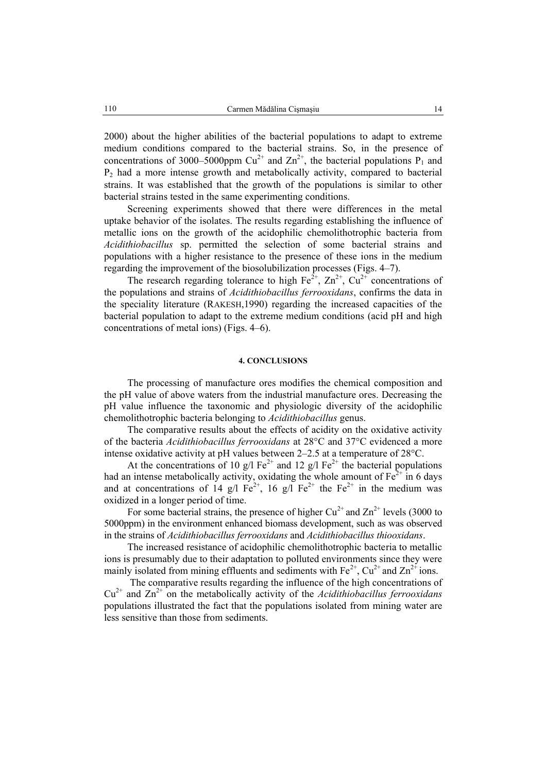2000) about the higher abilities of the bacterial populations to adapt to extreme medium conditions compared to the bacterial strains. So, in the presence of concentrations of 3000–5000ppm  $Cu^{2+}$  and  $Zn^{2+}$ , the bacterial populations P<sub>1</sub> and  $P_2$  had a more intense growth and metabolically activity, compared to bacterial strains. It was established that the growth of the populations is similar to other bacterial strains tested in the same experimenting conditions.

Screening experiments showed that there were differences in the metal uptake behavior of the isolates. The results regarding establishing the influence of metallic ions on the growth of the acidophilic chemolithotrophic bacteria from *Acidithiobacillus* sp. permitted the selection of some bacterial strains and populations with a higher resistance to the presence of these ions in the medium regarding the improvement of the biosolubilization processes (Figs. 4–7).

The research regarding tolerance to high  $Fe^{2+}$ ,  $Zn^{2+}$ ,  $Cu^{2+}$  concentrations of the populations and strains of *Acidithiobacillus ferrooxidans*, confirms the data in the speciality literature (RAKESH,1990) regarding the increased capacities of the bacterial population to adapt to the extreme medium conditions (acid pH and high concentrations of metal ions) (Figs. 4–6).

#### **4. CONCLUSIONS**

The processing of manufacture ores modifies the chemical composition and the pH value of above waters from the industrial manufacture ores. Decreasing the pH value influence the taxonomic and physiologic diversity of the acidophilic chemolithotrophic bacteria belonging to *Acidithiobacillus* genus.

The comparative results about the effects of acidity on the oxidative activity of the bacteria *Acidithiobacillus ferrooxidans* at 28°C and 37°C evidenced a more intense oxidative activity at pH values between 2–2.5 at a temperature of 28°C.

At the concentrations of 10 g/l Fe<sup>2+</sup> and 12 g/l Fe<sup>2+</sup> the bacterial populations had an intense metabolically activity, oxidating the whole amount of  $Fe^{2+}$  in 6 days and at concentrations of 14 g/l  $Fe^{2+}$ , 16 g/l  $Fe^{2+}$  the  $Fe^{2+}$  in the medium was oxidized in a longer period of time.

For some bacterial strains, the presence of higher  $Cu^{2+}$  and  $Zn^{2+}$  levels (3000 to 5000ppm) in the environment enhanced biomass development, such as was observed in the strains of *Acidithiobacillus ferrooxidans* and *Acidithiobacillus thiooxidans*.

The increased resistance of acidophilic chemolithotrophic bacteria to metallic ions is presumably due to their adaptation to polluted environments since they were mainly isolated from mining effluents and sediments with  $Fe^{2+}$ ,  $Cu^{2+}$  and  $Zn^{2+}$  ions.

 The comparative results regarding the influence of the high concentrations of  $Cu<sup>2+</sup>$  and  $Zn<sup>2+</sup>$  on the metabolically activity of the *Acidithiobacillus ferrooxidans* populations illustrated the fact that the populations isolated from mining water are less sensitive than those from sediments.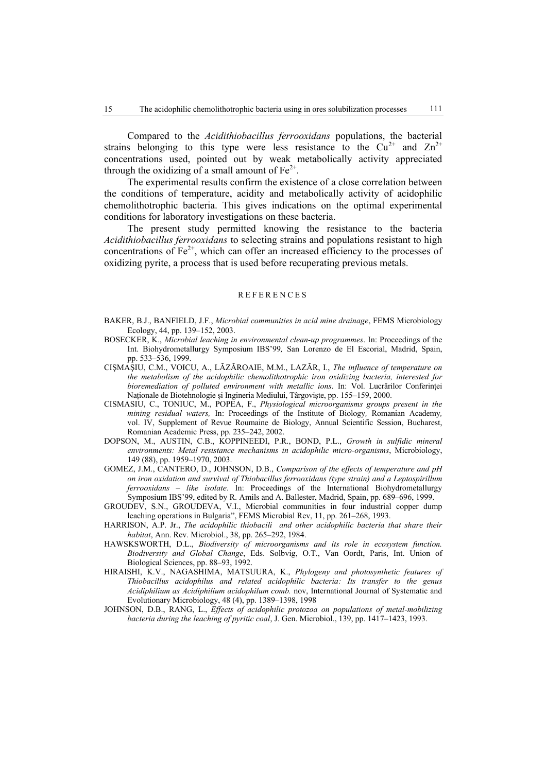Compared to the *Acidithiobacillus ferrooxidans* populations, the bacterial strains belonging to this type were less resistance to the  $Cu^{2+}$  and  $Zn^{2+}$ concentrations used, pointed out by weak metabolically activity appreciated through the oxidizing of a small amount of  $Fe^{2+}$ .

The experimental results confirm the existence of a close correlation between the conditions of temperature, acidity and metabolically activity of acidophilic chemolithotrophic bacteria. This gives indications on the optimal experimental conditions for laboratory investigations on these bacteria.

The present study permitted knowing the resistance to the bacteria *Acidithiobacillus ferrooxidans* to selecting strains and populations resistant to high concentrations of  $Fe<sup>2+</sup>$ , which can offer an increased efficiency to the processes of oxidizing pyrite, a process that is used before recuperating previous metals.

#### REFERENCES

- BAKER, B.J., BANFIELD, J.F., *Microbial communities in acid mine drainage*, FEMS Microbiology Ecology, 44, pp. 139–152, 2003.
- BOSECKER, K., *Microbial leaching in environmental clean-up programmes*. In: Proceedings of the Int. Biohydrometallurgy Symposium IBS'99*,* San Lorenzo de El Escorial, Madrid, Spain, pp. 533–536, 1999.
- CIŞMAŞIU, C.M., VOICU, A., LĂZĂROAIE, M.M., LAZĂR, I., *The influence of temperature on the metabolism of the acidophilic chemolithotrophic iron oxidizing bacteria, interested for bioremediation of polluted environment with metallic ions*. In: Vol. Lucrărilor Conferinței Naţionale de Biotehnologie şi Ingineria Mediului, Târgovişte, pp. 155–159, 2000.
- CISMASIU, C., TONIUC, M., POPEA, F., *Physiological microorganisms groups present in the mining residual waters,* In: Proceedings of the Institute of Biology*,* Romanian Academy*,*  vol. IV, Supplement of Revue Roumaine de Biology, Annual Scientific Session, Bucharest, Romanian Academic Press, pp. 235–242, 2002.
- DOPSON, M., AUSTIN, C.B., KOPPINEEDI, P.R., BOND, P.L., *Growth in sulfidic mineral environments: Metal resistance mechanisms in acidophilic micro-organisms*, Microbiology, 149 (88), pp. 1959–1970, 2003.
- GOMEZ, J.M., CANTERO, D., JOHNSON, D.B., *Comparison of the effects of temperature and pH on iron oxidation and survival of Thiobacillus ferrooxidans (type strain) and a Leptospirillum ferrooxidans – like isolate*. In: Proceedings of the International Biohydrometallurgy Symposium IBS'99, edited by R. Amils and A. Ballester, Madrid, Spain, pp. 689–696, 1999.
- GROUDEV, S.N., GROUDEVA, V.I., Microbial communities in four industrial copper dump leaching operations in Bulgaria", FEMS Microbial Rev, 11, pp. 261–268, 1993.
- HARRISON, A.P. Jr., *The acidophilic thiobacili and other acidophilic bacteria that share their habitat*, Ann. Rev. Microbiol., 38, pp. 265–292, 1984.
- HAWSKSWORTH, D.L., *Biodiversity of microorganisms and its role in ecosystem function. Biodiversity and Global Change*, Eds. Solbvig, O.T., Van Oordt, Paris, Int. Union of Biological Sciences, pp. 88–93, 1992.
- HIRAISHI, K.V., NAGASHIMA, MATSUURA, K., *Phylogeny and photosynthetic features of Thiobacillus acidophilus and related acidophilic bacteria: Its transfer to the genus Acidiphilium as Acidiphilium acidophilum comb.* nov, International Journal of Systematic and Evolutionary Microbiology, 48 (4), pp. 1389–1398, 1998
- JOHNSON, D.B., RANG, L., *Effects of acidophilic protozoa on populations of metal-mobilizing bacteria during the leaching of pyritic coal*, J. Gen. Microbiol., 139, pp. 1417–1423, 1993.